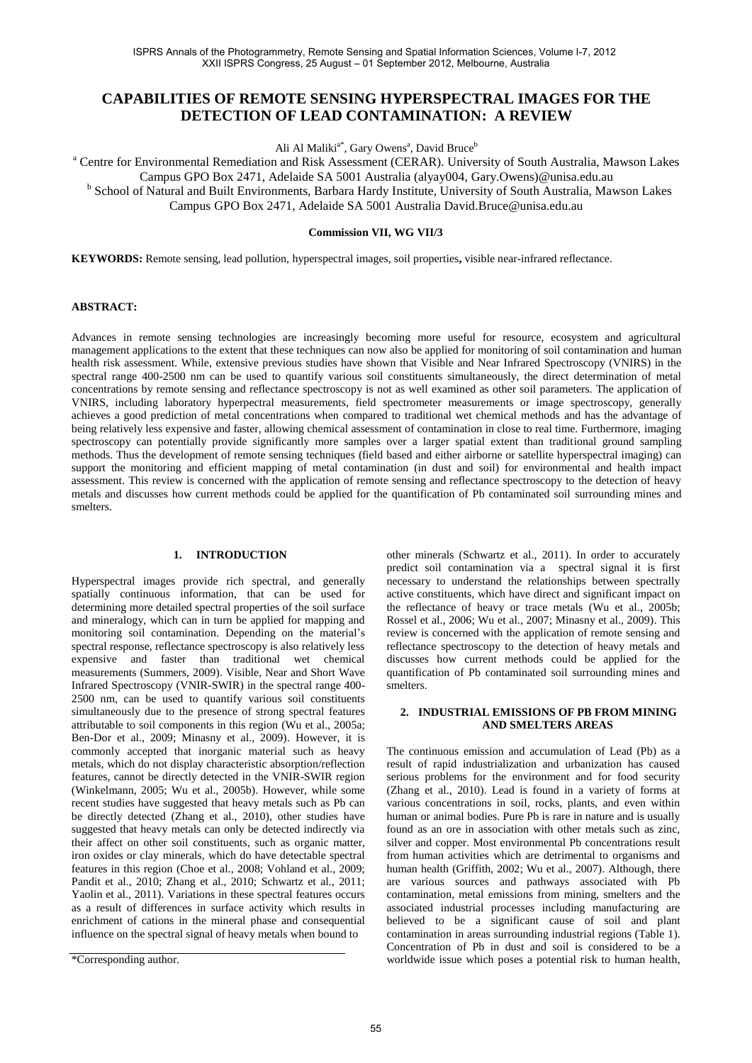# **CAPABILITIES OF REMOTE SENSING HYPERSPECTRAL IMAGES FOR THE DETECTION OF LEAD CONTAMINATION: A REVIEW**

Ali Al Maliki<sup>a\*</sup>, Gary Owens<sup>a</sup>, David Bruce<sup>b</sup>

<sup>a</sup> Centre for Environmental Remediation and Risk Assessment (CERAR). University of South Australia, Mawson Lakes Campus GPO Box 2471, Adelaide SA 5001 Australia (alyay004, Gary.Owens)@unisa.edu.au <sup>b</sup> School of Natural and Built Environments, Barbara Hardy Institute, University of South Australia, Mawson Lakes

Campus GPO Box 2471, Adelaide SA 5001 Australia David.Bruce@unisa.edu.au

#### **Commission VII, WG VII/3**

**KEYWORDS:** Remote sensing, lead pollution, hyperspectral images, soil properties**,** visible near-infrared reflectance.

### **ABSTRACT:**

Advances in remote sensing technologies are increasingly becoming more useful for resource, ecosystem and agricultural management applications to the extent that these techniques can now also be applied for monitoring of soil contamination and human health risk assessment. While, extensive previous studies have shown that Visible and Near Infrared Spectroscopy (VNIRS) in the spectral range 400-2500 nm can be used to quantify various soil constituents simultaneously, the direct determination of metal concentrations by remote sensing and reflectance spectroscopy is not as well examined as other soil parameters. The application of VNIRS, including laboratory hyperpectral measurements, field spectrometer measurements or image spectroscopy, generally achieves a good prediction of metal concentrations when compared to traditional wet chemical methods and has the advantage of being relatively less expensive and faster, allowing chemical assessment of contamination in close to real time. Furthermore, imaging spectroscopy can potentially provide significantly more samples over a larger spatial extent than traditional ground sampling methods. Thus the development of remote sensing techniques **(**field based and either airborne or satellite hyperspectral imaging) can support the monitoring and efficient mapping of metal contamination (in dust and soil) for environmental and health impact assessment. This review is concerned with the application of remote sensing and reflectance spectroscopy to the detection of heavy metals and discusses how current methods could be applied for the quantification of Pb contaminated soil surrounding mines and smelters.

#### **1. INTRODUCTION**

Hyperspectral images provide rich spectral, and generally spatially continuous information, that can be used for determining more detailed spectral properties of the soil surface and mineralogy, which can in turn be applied for mapping and monitoring soil contamination. Depending on the material's spectral response, reflectance spectroscopy is also relatively less expensive and faster than traditional wet chemical measurements (Summers, 2009). Visible, Near and Short Wave Infrared Spectroscopy (VNIR-SWIR) in the spectral range 400- 2500 nm, can be used to quantify various soil constituents simultaneously due to the presence of strong spectral features attributable to soil components in this region (Wu et al., 2005a; Ben-Dor et al., 2009; Minasny et al., 2009). However, it is commonly accepted that inorganic material such as heavy metals, which do not display characteristic absorption/reflection features, cannot be directly detected in the VNIR-SWIR region (Winkelmann, 2005; Wu et al., 2005b). However, while some recent studies have suggested that heavy metals such as Pb can be directly detected (Zhang et al., 2010), other studies have suggested that heavy metals can only be detected indirectly via their affect on other soil constituents, such as organic matter, iron oxides or clay minerals, which do have detectable spectral features in this region (Choe et al., 2008; Vohland et al., 2009; Pandit et al., 2010; Zhang et al., 2010; Schwartz et al., 2011; Yaolin et al., 2011). Variations in these spectral features occurs as a result of differences in surface activity which results in enrichment of cations in the mineral phase and consequential influence on the spectral signal of heavy metals when bound to

other minerals (Schwartz et al., 2011). In order to accurately predict soil contamination via a spectral signal it is first necessary to understand the relationships between spectrally active constituents, which have direct and significant impact on the reflectance of heavy or trace metals (Wu et al., 2005b; Rossel et al., 2006; Wu et al., 2007; Minasny et al., 2009). This review is concerned with the application of remote sensing and reflectance spectroscopy to the detection of heavy metals and discusses how current methods could be applied for the quantification of Pb contaminated soil surrounding mines and smelters.

### **2. INDUSTRIAL EMISSIONS OF PB FROM MINING AND SMELTERS AREAS**

The continuous emission and accumulation of Lead (Pb) as a result of rapid industrialization and urbanization has caused serious problems for the environment and for food security (Zhang et al., 2010). Lead is found in a variety of forms at various concentrations in soil, rocks, plants, and even within human or animal bodies. Pure Pb is rare in nature and is usually found as an ore in association with other metals such as zinc, silver and copper. Most environmental Pb concentrations result from human activities which are detrimental to organisms and human health (Griffith, 2002; Wu et al., 2007). Although, there are various sources and pathways associated with Pb contamination, metal emissions from mining, smelters and the associated industrial processes including manufacturing are believed to be a significant cause of soil and plant contamination in areas surrounding industrial regions (Table 1). Concentration of Pb in dust and soil is considered to be a worldwide issue which poses a potential risk to human health,

<sup>\*</sup>Corresponding author.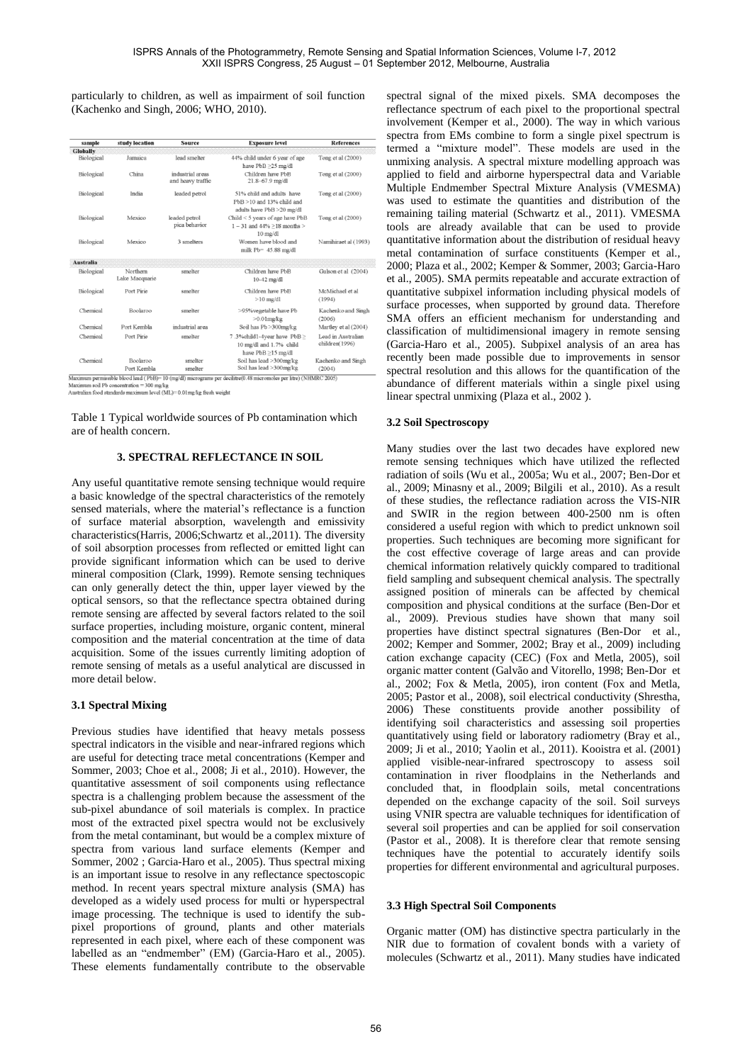particularly to children, as well as impairment of soil function (Kachenko and Singh, 2006; WHO, 2010).

| sample           | study location                                                 | <b>Source</b>                                                                                            | <b>Exposure level</b>                                                            | <b>References</b>                    |
|------------------|----------------------------------------------------------------|----------------------------------------------------------------------------------------------------------|----------------------------------------------------------------------------------|--------------------------------------|
| Globally         |                                                                |                                                                                                          |                                                                                  |                                      |
| Biological       | Jamaica                                                        | lead smelter                                                                                             | 44% child under 6 year of age<br>have $PbB \geq 25$ mg/dl                        | Tong et al (2000)                    |
| Biological       | China                                                          | industrial areas<br>and heavy traffic                                                                    | Children have PbR<br>21.8-67.9 mg/dl                                             | Tong et al (2000)                    |
| Biological       | India                                                          | 51% child and adults have<br>leaded petrol<br>$PbB > 10$ and 13% child and<br>adults have PbB > 20 mg/dl |                                                                                  | Tong et al (2000)                    |
| Biological       | leaded petrol<br>Mexico<br>pica behavior<br>$10 \text{ mg/dl}$ |                                                                                                          | Child < 5 years of age have PbB<br>$1 - 31$ and $44\% > 18$ months >             | Tong et al (2000)                    |
| Biological       | Mexico                                                         | 3 smelters                                                                                               | Women have blood and<br>milk Pb= $45.88$ mg/dl                                   | Namihiraet al (1993)                 |
| <b>Australia</b> |                                                                |                                                                                                          |                                                                                  |                                      |
| Biological       | Northern<br>Lake Macquarie                                     | smelter                                                                                                  | Children have PbB<br>$10-42$ mg/dl                                               | Gulson et al (2004)                  |
| Biological       | Port Pirie                                                     | smelter                                                                                                  | Children have PbB<br>$>10$ mg/dl                                                 | McMichael et al<br>(1994)            |
| Chemical         | Boolaroo                                                       | smelter                                                                                                  | >95% vegetable have Pb<br>$>0.01$ mg/kg                                          | Kachenko and Singh<br>(2006)         |
| Chemical         | Port Kembla                                                    | industrial area                                                                                          | Soil has Pb >300mg/kg                                                            | Martley et al (2004)                 |
| Chemical         | Port Pirie                                                     | smelter                                                                                                  | 7.3%child1-4year have PbB≥<br>10 mg/dl and 1.7% child<br>have $PbB \ge 15$ mg/dl | Lead in Australian<br>children(1996) |
| Chemical         | Boolaroo<br>smelter<br>Port Kembla<br>smelter                  |                                                                                                          | Soil has lead >300mg/kg<br>Soil has lead >300mg/kg                               | Kachenko and Singh<br>(2004)         |

Maximum permissione otoota teau (100)–10 (ingour) theorogroune p-2000<br>Maximum soil Pb concentration = 300 mg/kg<br>Australian food standards maximum level (ML)= 0.01 mg/kg fresh weight

Table 1 Typical worldwide sources of Pb contamination which are of health concern.

#### **3. SPECTRAL REFLECTANCE IN SOIL**

Any useful quantitative remote sensing technique would require a basic knowledge of the spectral characteristics of the remotely sensed materials, where the material's reflectance is a function of surface material absorption, wavelength and emissivity characteristics(Harris, 2006;Schwartz et al.,2011). The diversity of soil absorption processes from reflected or emitted light can provide significant information which can be used to derive mineral composition (Clark, 1999). Remote sensing techniques can only generally detect the thin, upper layer viewed by the optical sensors, so that the reflectance spectra obtained during remote sensing are affected by several factors related to the soil surface properties, including moisture, organic content, mineral composition and the material concentration at the time of data acquisition. Some of the issues currently limiting adoption of remote sensing of metals as a useful analytical are discussed in more detail below.

### **3.1 Spectral Mixing**

Previous studies have identified that heavy metals possess spectral indicators in the visible and near-infrared regions which are useful for detecting trace metal concentrations (Kemper and Sommer, 2003; Choe et al., 2008; Ji et al., 2010). However, the quantitative assessment of soil components using reflectance spectra is a challenging problem because the assessment of the sub-pixel abundance of soil materials is complex. In practice most of the extracted pixel spectra would not be exclusively from the metal contaminant, but would be a complex mixture of spectra from various land surface elements (Kemper and Sommer, 2002 ; Garcia-Haro et al., 2005). Thus spectral mixing is an important issue to resolve in any reflectance spectoscopic method. In recent years spectral mixture analysis (SMA) has developed as a widely used process for multi or hyperspectral image processing. The technique is used to identify the subpixel proportions of ground, plants and other materials represented in each pixel, where each of these component was labelled as an "endmember" (EM) (Garcia-Haro et al., 2005). These elements fundamentally contribute to the observable spectral signal of the mixed pixels. SMA decomposes the reflectance spectrum of each pixel to the proportional spectral involvement (Kemper et al., 2000). The way in which various spectra from EMs combine to form a single pixel spectrum is termed a "mixture model". These models are used in the unmixing analysis. A spectral mixture modelling approach was applied to field and airborne hyperspectral data and Variable Multiple Endmember Spectral Mixture Analysis (VMESMA) was used to estimate the quantities and distribution of the remaining tailing material (Schwartz et al., 2011). VMESMA tools are already available that can be used to provide quantitative information about the distribution of residual heavy metal contamination of surface constituents (Kemper et al., 2000; Plaza et al., 2002; Kemper & Sommer, 2003; Garcia-Haro et al., 2005). SMA permits repeatable and accurate extraction of quantitative subpixel information including physical models of surface processes, when supported by ground data. Therefore SMA offers an efficient mechanism for understanding and classification of multidimensional imagery in remote sensing (Garcia-Haro et al., 2005). Subpixel analysis of an area has recently been made possible due to improvements in sensor spectral resolution and this allows for the quantification of the abundance of different materials within a single pixel using linear spectral unmixing (Plaza et al., 2002 ).

### **3.2 Soil Spectroscopy**

Many studies over the last two decades have explored new remote sensing techniques which have utilized the reflected radiation of soils (Wu et al., 2005a; Wu et al., 2007; Ben-Dor et al., 2009; Minasny et al., 2009; Bilgili et al., 2010). As a result of these studies, the reflectance radiation across the VIS-NIR and SWIR in the region between 400-2500 nm is often considered a useful region with which to predict unknown soil properties. Such techniques are becoming more significant for the cost effective coverage of large areas and can provide chemical information relatively quickly compared to traditional field sampling and subsequent chemical analysis. The spectrally assigned position of minerals can be affected by chemical composition and physical conditions at the surface (Ben-Dor et al., 2009). Previous studies have shown that many soil properties have distinct spectral signatures (Ben-Dor et al., 2002; Kemper and Sommer, 2002; Bray et al., 2009) including cation exchange capacity (CEC) (Fox and Metla, 2005), soil organic matter content (Galvão and Vitorello, 1998; Ben-Dor et al., 2002; Fox & Metla, 2005), iron content (Fox and Metla, 2005; Pastor et al., 2008), soil electrical conductivity (Shrestha, 2006) These constituents provide another possibility of identifying soil characteristics and assessing soil properties quantitatively using field or laboratory radiometry (Bray et al., 2009; Ji et al., 2010; Yaolin et al., 2011). Kooistra et al. (2001) applied visible-near-infrared spectroscopy to assess soil contamination in river floodplains in the Netherlands and concluded that, in floodplain soils, metal concentrations depended on the exchange capacity of the soil. Soil surveys using VNIR spectra are valuable techniques for identification of several soil properties and can be applied for soil conservation (Pastor et al., 2008). It is therefore clear that remote sensing techniques have the potential to accurately identify soils properties for different environmental and agricultural purposes.

#### **3.3 High Spectral Soil Components**

Organic matter (OM) has distinctive spectra particularly in the NIR due to formation of covalent bonds with a variety of molecules (Schwartz et al., 2011). Many studies have indicated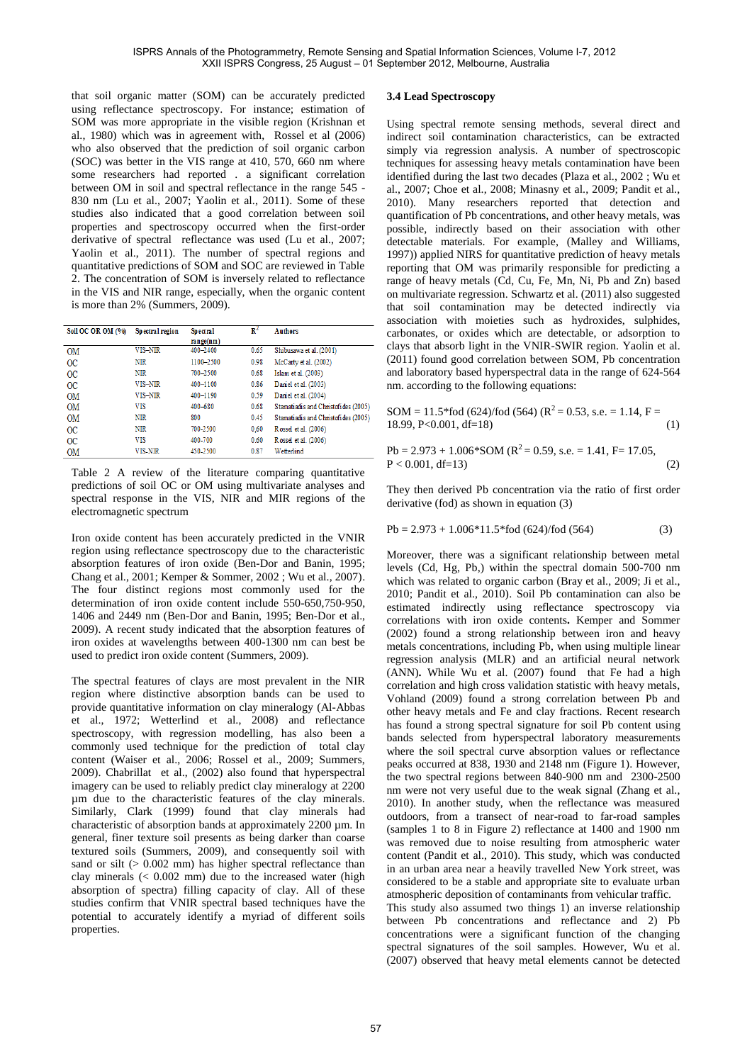that soil organic matter (SOM) can be accurately predicted using reflectance spectroscopy. For instance; estimation of SOM was more appropriate in the visible region (Krishnan et al., 1980) which was in agreement with, Rossel et al (2006) who also observed that the prediction of soil organic carbon (SOC) was better in the VIS range at 410, 570, 660 nm where some researchers had reported . a significant correlation between OM in soil and spectral reflectance in the range 545 - 830 nm (Lu et al., 2007; Yaolin et al., 2011). Some of these studies also indicated that a good correlation between soil properties and spectroscopy occurred when the first-order derivative of spectral reflectance was used (Lu et al., 2007; Yaolin et al., 2011). The number of spectral regions and quantitative predictions of SOM and SOC are reviewed in Table 2. The concentration of SOM is inversely related to reflectance in the VIS and NIR range, especially, when the organic content is more than 2% (Summers, 2009).

| Soil OC OR OM (%) | Spectral region | <b>Spectral</b> | $\mathbb{R}^2$ | <b>Authors</b>                      |
|-------------------|-----------------|-----------------|----------------|-------------------------------------|
|                   |                 | range(nm)       |                |                                     |
| <b>OM</b>         | VIS-NIR         | 400-2400        | 0.65           | Shibusawa et al. (2001)             |
| $_{\rm oc}$       | <b>NIR</b>      | 1100-2500       | 0.98           | McCarty et al. (2002)               |
| $_{\rm oc}$       | <b>NIR</b>      | 700-2500        | 0.68           | Islam et al. (2003)                 |
| $_{\rm oc}$       | VIS-NIR         | 400-1100        | 0.86           | Daniel et al. (2003)                |
| <b>OM</b>         | VIS-NIR         | 400-1190        | 0.59           | Daniel et al. (2004)                |
| <b>OM</b>         | <b>VIS</b>      | 400-680         | 0.68           | Stamatiadis and Christofides (2005) |
| <b>OM</b>         | NIR             | 800             | 0.45           | Stamatiadis and Christofides (2005) |
| $_{\rm OC}$       | NIR             | 700-2500        | 0.60           | Rossel et al. (2006)                |
| $_{\rm oc}$       | <b>VIS</b>      | 400-700         | 0.60           | Rossel et al. (2006)                |
| OM                | VIS-NIR         | 450-2500        | 0.87           | Wetterlind                          |

Table 2 A review of the literature comparing quantitative predictions of soil OC or OM using multivariate analyses and spectral response in the VIS, NIR and MIR regions of the electromagnetic spectrum

Iron oxide content has been accurately predicted in the VNIR region using reflectance spectroscopy due to the characteristic absorption features of iron oxide (Ben-Dor and Banin, 1995; Chang et al., 2001; Kemper & Sommer, 2002 ; Wu et al., 2007). The four distinct regions most commonly used for the determination of iron oxide content include 550-650,750-950, 1406 and 2449 nm (Ben-Dor and Banin, 1995; Ben-Dor et al., 2009). A recent study indicated that the absorption features of iron oxides at wavelengths between 400-1300 nm can best be used to predict iron oxide content (Summers, 2009).

The spectral features of clays are most prevalent in the NIR region where distinctive absorption bands can be used to provide quantitative information on clay mineralogy (Al-Abbas et al., 1972; Wetterlind et al., 2008) and reflectance spectroscopy, with regression modelling, has also been a commonly used technique for the prediction of total clay content (Waiser et al., 2006; Rossel et al., 2009; Summers, 2009). Chabrillat et al., (2002) also found that hyperspectral imagery can be used to reliably predict clay mineralogy at 2200 µm due to the characteristic features of the clay minerals. Similarly, Clark (1999) found that clay minerals had characteristic of absorption bands at approximately 2200 µm. In general, finer texture soil presents as being darker than coarse textured soils (Summers, 2009), and consequently soil with sand or silt ( $> 0.002$  mm) has higher spectral reflectance than clay minerals (< 0.002 mm) due to the increased water (high absorption of spectra) filling capacity of clay. All of these studies confirm that VNIR spectral based techniques have the potential to accurately identify a myriad of different soils properties.

### **3.4 Lead Spectroscopy**

Using spectral remote sensing methods, several direct and indirect soil contamination characteristics, can be extracted simply via regression analysis. A number of spectroscopic techniques for assessing heavy metals contamination have been identified during the last two decades (Plaza et al., 2002 ; Wu et al., 2007; Choe et al., 2008; Minasny et al., 2009; Pandit et al., 2010). Many researchers reported that detection and quantification of Pb concentrations, and other heavy metals, was possible, indirectly based on their association with other detectable materials. For example, (Malley and Williams, 1997)) applied NIRS for quantitative prediction of heavy metals reporting that OM was primarily responsible for predicting a range of heavy metals (Cd, Cu, Fe, Mn, Ni, Pb and Zn) based on multivariate regression. Schwartz et al. (2011) also suggested that soil contamination may be detected indirectly via association with moieties such as hydroxides, sulphides, carbonates, or oxides which are detectable, or adsorption to clays that absorb light in the VNIR-SWIR region. Yaolin et al. (2011) found good correlation between SOM, Pb concentration and laboratory based hyperspectral data in the range of 624-564 nm. according to the following equations:

SOM = 11.5\*fod (624)/fod (564) ( $R^2$  = 0.53, s.e. = 1.14, F =  $18.99, P<0.001, df=18)$  (1)

$$
Pb = 2.973 + 1.006 * SOM (R2 = 0.59, s.e. = 1.41, F= 17.05,P < 0.001, df=13)
$$
 (2)

They then derived Pb concentration via the ratio of first order derivative (fod) as shown in equation (3)

$$
Pb = 2.973 + 1.006*11.5* \text{fod} (624)/ \text{fod} (564)
$$
 (3)

Moreover, there was a significant relationship between metal levels (Cd, Hg, Pb,) within the spectral domain 500-700 nm which was related to organic carbon (Bray et al., 2009; Ji et al., 2010; Pandit et al., 2010). Soil Pb contamination can also be estimated indirectly using reflectance spectroscopy via correlations with iron oxide contents**.** Kemper and Sommer (2002) found a strong relationship between iron and heavy metals concentrations, including Pb, when using multiple linear regression analysis (MLR) and an artificial neural network (ANN)**.** While Wu et al. (2007) found that Fe had a high correlation and high cross validation statistic with heavy metals, Vohland (2009) found a strong correlation between Pb and other heavy metals and Fe and clay fractions. Recent research has found a strong spectral signature for soil Pb content using bands selected from hyperspectral laboratory measurements where the soil spectral curve absorption values or reflectance peaks occurred at 838, 1930 and 2148 nm (Figure 1). However, the two spectral regions between 840-900 nm and 2300-2500 nm were not very useful due to the weak signal (Zhang et al., 2010). In another study, when the reflectance was measured outdoors, from a transect of near-road to far-road samples (samples 1 to 8 in Figure 2) reflectance at 1400 and 1900 nm was removed due to noise resulting from atmospheric water content (Pandit et al., 2010). This study, which was conducted in an urban area near a heavily travelled New York street, was considered to be a stable and appropriate site to evaluate urban atmospheric deposition of contaminants from vehicular traffic. This study also assumed two things 1) an inverse relationship

between Pb concentrations and reflectance and 2) Pb concentrations were a significant function of the changing spectral signatures of the soil samples. However, Wu et al. (2007) observed that heavy metal elements cannot be detected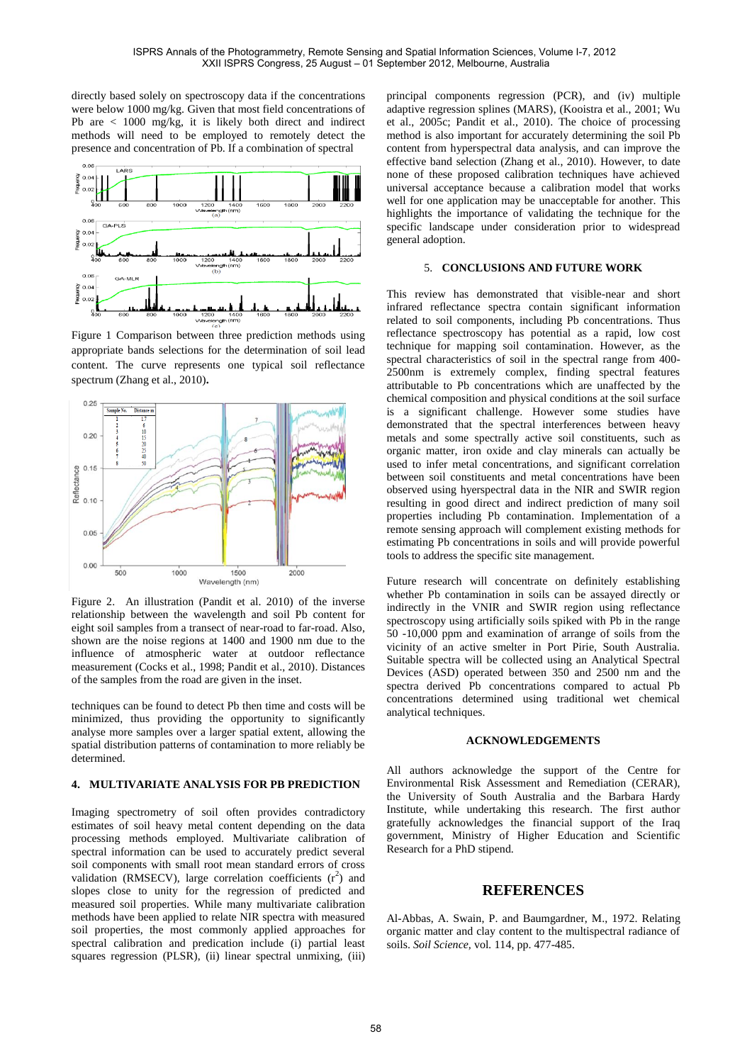directly based solely on spectroscopy data if the concentrations were below 1000 mg/kg. Given that most field concentrations of Pb are < 1000 mg/kg, it is likely both direct and indirect methods will need to be employed to remotely detect the presence and concentration of Pb. If a combination of spectral



Figure 1 Comparison between three prediction methods using appropriate bands selections for the determination of soil lead content. The curve represents one typical soil reflectance spectrum (Zhang et al., 2010)**.**



Figure 2. An illustration (Pandit et al. 2010) of the inverse relationship between the wavelength and soil Pb content for eight soil samples from a transect of near-road to far-road. Also, shown are the noise regions at 1400 and 1900 nm due to the influence of atmospheric water at outdoor reflectance measurement (Cocks et al., 1998; Pandit et al., 2010). Distances of the samples from the road are given in the inset.

techniques can be found to detect Pb then time and costs will be minimized, thus providing the opportunity to significantly analyse more samples over a larger spatial extent, allowing the spatial distribution patterns of contamination to more reliably be determined.

## **4. MULTIVARIATE ANALYSIS FOR PB PREDICTION**

Imaging spectrometry of soil often provides contradictory estimates of soil heavy metal content depending on the data processing methods employed. Multivariate calibration of spectral information can be used to accurately predict several soil components with small root mean standard errors of cross validation (RMSECV), large correlation coefficients  $(r^2)$  and slopes close to unity for the regression of predicted and measured soil properties. While many multivariate calibration methods have been applied to relate NIR spectra with measured soil properties, the most commonly applied approaches for spectral calibration and predication include (i) partial least squares regression (PLSR), (ii) linear spectral unmixing, (iii)

principal components regression (PCR), and (iv) multiple adaptive regression splines (MARS), (Kooistra et al., 2001; Wu et al., 2005c; Pandit et al., 2010). The choice of processing method is also important for accurately determining the soil Pb content from hyperspectral data analysis, and can improve the effective band selection (Zhang et al., 2010). However, to date none of these proposed calibration techniques have achieved universal acceptance because a calibration model that works well for one application may be unacceptable for another. This highlights the importance of validating the technique for the specific landscape under consideration prior to widespread general adoption.

### 5. **CONCLUSIONS AND FUTURE WORK**

This review has demonstrated that visible-near and short infrared reflectance spectra contain significant information related to soil components, including Pb concentrations. Thus reflectance spectroscopy has potential as a rapid, low cost technique for mapping soil contamination. However, as the spectral characteristics of soil in the spectral range from 400- 2500nm is extremely complex, finding spectral features attributable to Pb concentrations which are unaffected by the chemical composition and physical conditions at the soil surface is a significant challenge. However some studies have demonstrated that the spectral interferences between heavy metals and some spectrally active soil constituents, such as organic matter, iron oxide and clay minerals can actually be used to infer metal concentrations, and significant correlation between soil constituents and metal concentrations have been observed using hyerspectral data in the NIR and SWIR region resulting in good direct and indirect prediction of many soil properties including Pb contamination. Implementation of a remote sensing approach will complement existing methods for estimating Pb concentrations in soils and will provide powerful tools to address the specific site management.

Future research will concentrate on definitely establishing whether Pb contamination in soils can be assayed directly or indirectly in the VNIR and SWIR region using reflectance spectroscopy using artificially soils spiked with Pb in the range 50 -10,000 ppm and examination of arrange of soils from the vicinity of an active smelter in Port Pirie, South Australia. Suitable spectra will be collected using an Analytical Spectral Devices (ASD) operated between 350 and 2500 nm and the spectra derived Pb concentrations compared to actual Pb concentrations determined using traditional wet chemical analytical techniques.

### **ACKNOWLEDGEMENTS**

All authors acknowledge the support of the Centre for Environmental Risk Assessment and Remediation (CERAR), the University of South Australia and the Barbara Hardy Institute, while undertaking this research. The first author gratefully acknowledges the financial support of the Iraq government, Ministry of Higher Education and Scientific Research for a PhD stipend.

# **REFERENCES**

Al-Abbas, A. Swain, P. and Baumgardner, M., 1972. Relating organic matter and clay content to the multispectral radiance of soils. *Soil Science,* vol*.* 114, pp. 477-485.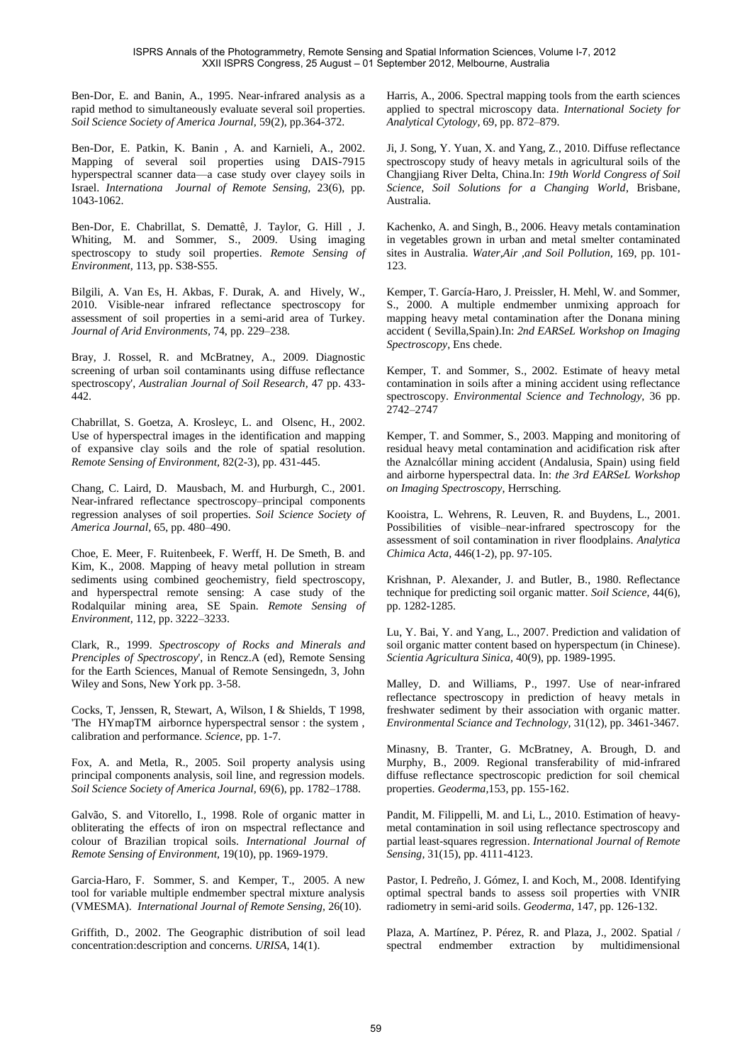Ben-Dor, E. and Banin, A., 1995. Near-infrared analysis as a rapid method to simultaneously evaluate several soil properties. *Soil Science Society of America Journal,* 59(2), pp.364-372.

Ben-Dor, E. Patkin, K. Banin , A. and Karnieli, A., 2002. Mapping of several soil properties using DAIS-7915 hyperspectral scanner data—a case study over clayey soils in Israel. *Internationa Journal of Remote Sensing,* 23(6), pp. 1043-1062.

Ben-Dor, E. Chabrillat, S. Demattê, J. Taylor, G. Hill , J. Whiting, M. and Sommer, S., 2009. Using imaging spectroscopy to study soil properties. *Remote Sensing of Environment,* 113, pp. S38-S55.

Bilgili, A. Van Es, H. Akbas, F. Durak, A. and Hively, W., 2010. Visible-near infrared reflectance spectroscopy for assessment of soil properties in a semi-arid area of Turkey. *Journal of Arid Environments,* 74, pp. 229–238.

Bray, J. Rossel, R. and McBratney, A., 2009. Diagnostic screening of urban soil contaminants using diffuse reflectance spectroscopy', *Australian Journal of Soil Research,* 47 pp. 433- 442.

Chabrillat, S. Goetza, A. Krosleyc, L. and Olsenc, H., 2002. Use of hyperspectral images in the identification and mapping of expansive clay soils and the role of spatial resolution. *Remote Sensing of Environment,* 82(2-3), pp. 431-445.

Chang, C. Laird, D. Mausbach, M. and Hurburgh, C., 2001. Near-infrared reflectance spectroscopy–principal components regression analyses of soil properties. *Soil Science Society of America Journal,* 65, pp. 480–490.

Choe, E. Meer, F. Ruitenbeek, F. Werff, H. De Smeth, B. and Kim, K., 2008. Mapping of heavy metal pollution in stream sediments using combined geochemistry, field spectroscopy, and hyperspectral remote sensing: A case study of the Rodalquilar mining area, SE Spain. *Remote Sensing of Environment,* 112, pp. 3222–3233.

Clark, R., 1999. *Spectroscopy of Rocks and Minerals and Prenciples of Spectroscopy*', in Rencz.A (ed), Remote Sensing for the Earth Sciences, Manual of Remote Sensingedn, 3, John Wiley and Sons, New York pp. 3-58.

Cocks, T, Jenssen, R, Stewart, A, Wilson, I & Shields, T 1998, 'The HYmapTM airbornce hyperspectral sensor : the system , calibration and performance. *Science*, pp. 1-7.

Fox, A. and Metla, R., 2005. Soil property analysis using principal components analysis, soil line, and regression models. *Soil Science Society of America Journal,* 69(6), pp. 1782–1788.

Galvão, S. and Vitorello, I., 1998. Role of organic matter in obliterating the effects of iron on mspectral reflectance and colour of Brazilian tropical soils. *International Journal of Remote Sensing of Environment,* 19(10), pp. 1969-1979.

Garcia-Haro, F. Sommer, S. and Kemper, T., 2005. A new tool for variable multiple endmember spectral mixture analysis (VMESMA). *International Journal of Remote Sensing,* 26(10).

Griffith, D., 2002. The Geographic distribution of soil lead concentration:description and concerns. *URISA,* 14(1).

Harris, A., 2006. Spectral mapping tools from the earth sciences applied to spectral microscopy data. *International Society for Analytical Cytology,* 69, pp. 872–879.

Ji, J. Song, Y. Yuan, X. and Yang, Z., 2010. Diffuse reflectance spectroscopy study of heavy metals in agricultural soils of the Changjiang River Delta, China.In: *19th World Congress of Soil Science, Soil Solutions for a Changing World*, Brisbane, Australia.

Kachenko, A. and Singh, B., 2006. Heavy metals contamination in vegetables grown in urban and metal smelter contaminated sites in Australia. *Water,Air ,and Soil Pollution,* 169, pp. 101- 123.

Kemper, T. García-Haro, J. Preissler, H. Mehl, W. and Sommer, S., 2000. A multiple endmember unmixing approach for mapping heavy metal contamination after the Donana mining accident ( Sevilla,Spain).In: *2nd EARSeL Workshop on Imaging Spectroscopy*, Ens chede.

Kemper, T. and Sommer, S., 2002. Estimate of heavy metal contamination in soils after a mining accident using reflectance spectroscopy. *Environmental Science and Technology,* 36 pp. 2742–2747

Kemper, T. and Sommer, S., 2003. Mapping and monitoring of residual heavy metal contamination and acidification risk after the Aznalcóllar mining accident (Andalusia, Spain) using field and airborne hyperspectral data. In: *the 3rd EARSeL Workshop on Imaging Spectroscopy*, Herrsching.

Kooistra, L. Wehrens, R. Leuven, R. and Buydens, L., 2001. Possibilities of visible–near-infrared spectroscopy for the assessment of soil contamination in river floodplains. *Analytica Chimica Acta,* 446(1-2), pp. 97-105.

Krishnan, P. Alexander, J. and Butler, B., 1980. Reflectance technique for predicting soil organic matter. *Soil Science,* 44(6), pp. 1282-1285.

Lu, Y. Bai, Y. and Yang, L., 2007. Prediction and validation of soil organic matter content based on hyperspectum (in Chinese). *Scientia Agricultura Sinica,* 40(9), pp. 1989-1995.

Malley, D. and Williams, P., 1997. Use of near-infrared reflectance spectroscopy in prediction of heavy metals in freshwater sediment by their association with organic matter. *Environmental Sciance and Technology,* 31(12), pp. 3461-3467.

Minasny, B. Tranter, G. McBratney, A. Brough, D. and Murphy, B., 2009. Regional transferability of mid-infrared diffuse reflectance spectroscopic prediction for soil chemical properties. *Geoderma,*153, pp. 155-162.

Pandit, M. Filippelli, M. and Li, L., 2010. Estimation of heavymetal contamination in soil using reflectance spectroscopy and partial least-squares regression. *International Journal of Remote Sensing,* 31(15), pp. 4111-4123.

Pastor, I. Pedreño, J. Gómez, I. and Koch, M., 2008. Identifying optimal spectral bands to assess soil properties with VNIR radiometry in semi-arid soils. *Geoderma,* 147, pp. 126-132.

Plaza, A. Martínez, P. Pérez, R. and Plaza, J., 2002. Spatial / spectral endmember extraction by multidimensional